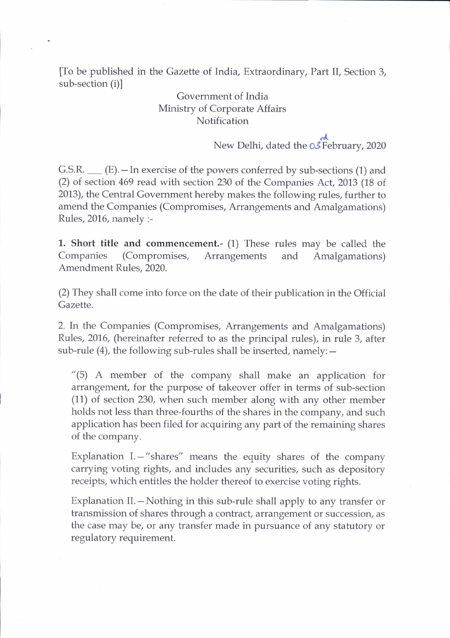[To be published in the Gazette of India, Extraordinary, Part II, Section 3, sub-section (i)l

## Government of India Ministry of Corporate Affairs Notification

New Delhi, dated the OS February, 2020

G.S.R.  $\_\_$  (E).  $\_\$  In exercise of the powers conferred by sub-sections (1) and (2) of section 469 read with section 230 of the Companies Act,2013 (18 of 2013), the Central Government hereby makes the following rules, further to amend the Companies (Compromises, Arrangements and Amalgamations) Rules, 2016, namely :-

1. Short title and commencement.- (1) These rules may be called the Companies (Compromises, Arrangements and Amalgamations) Amendment Rules,2020.

(2) They shall come into force on the date of their publication in the Official Gazette.

2. In the Companies (Compromises, Arrangements and Amalgamations) Rules, 2016, (hereinafter referred to as the principal rules), in rule 3, after sub-rule  $(4)$ , the following sub-rules shall be inserted, namely:  $-$ 

"(5) A member of the company shall make an application for arrangement, for the purpose of takeover offer in terms of sub-section (11) of section 230, when such member along with any other member holds not less than three-fourths of the shares in the company, and such application has been filed for acquiring any part of the remaining shares of the company.

Explanation I. - "shares" means the equity shares of the company carrying voting rights, and includes any securities, such as depository receipts, which entitles the holder thereof to exercise voting rights.

Explanation II.—Nothing in this sub-rule shall apply to any transfer or transmission of shares through a contract, arrangement or succession, as the case may be, or any transfer made in pursuance of any statutory or regulatory requirement.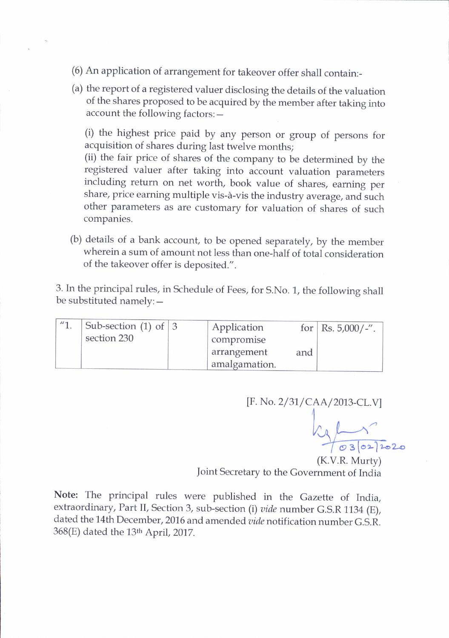- (6) An application of arrangement for takeover offer shall contain:\_
- (a) the report of a registered valuer disclosing the details of the valuation of the shares proposed to be acquired by the member after taking into account the following factors: -

(i) the highest price paid by any person or group of persons for acquisition of shares during last twelve months;

(ii) the fair price of shares of the company to be determined by the registered valuer after taking into account valuation parameters including return on net worth, book value of shares, earning per share, price earning multiple vis-à-vis the industry average, and such other parameters as are customary for valuation of shares of such companies.

(b) details of a bank account, to be opened separately, by the member wherein a sum of amount not Iess than one-half of total consideration of the takeover offer is deposited.".

3. In the principal rules, in Schedule of Fees, for S.No. 1, the following shall be substituted namely: $-$ 

| $11 - 1$ | Sub-section (1) of $ 3$ | Application   |     | for   Rs. $5,000/$ -". |
|----------|-------------------------|---------------|-----|------------------------|
|          | section 230             | compromise    |     |                        |
|          |                         | arrangement   | and |                        |
|          |                         | amalgamation. |     |                        |

[F. No. 2/31/CAA/2013-CL.V]

 $\sqrt{2}$ 03/02/2020

(K.V.R. Murty) Joint Secretary to the Government of India

Note: The principal rules were published in the Gazette of India, extraordinary, Part II, Section 3, sub-section (i) vide number G.S.R 1134 (E), dated the 14th December, 2016 and amended vide notification number G.S.R.  $368(E)$  dated the 13<sup>th</sup> April, 2017.